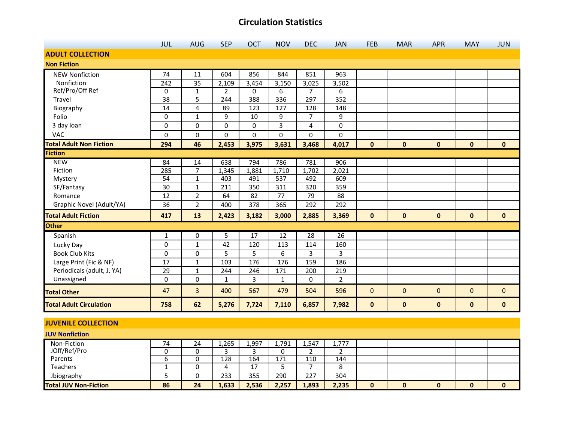|                                | <b>JUL</b>      | <b>AUG</b>     | <b>SEP</b> | <b>OCT</b> | <b>NOV</b> | <b>DEC</b>     | <b>JAN</b>     | <b>FEB</b>   | <b>MAR</b>   | <b>APR</b>   | <b>MAY</b>   | <b>JUN</b>   |
|--------------------------------|-----------------|----------------|------------|------------|------------|----------------|----------------|--------------|--------------|--------------|--------------|--------------|
| <b>ADULT COLLECTION</b>        |                 |                |            |            |            |                |                |              |              |              |              |              |
| <b>Non Fiction</b>             |                 |                |            |            |            |                |                |              |              |              |              |              |
| <b>NEW Nonfiction</b>          | 74              | 11             | 604        | 856        | 844        | 851            | 963            |              |              |              |              |              |
| Nonfiction                     | 242             | 35             | 2,109      | 3,454      | 3,150      | 3,025          | 3,502          |              |              |              |              |              |
| Ref/Pro/Off Ref                | 0               | $\mathbf{1}$   | 2          | 0          | 6          | $\overline{7}$ | 6              |              |              |              |              |              |
| Travel                         | 38              | 5              | 244        | 388        | 336        | 297            | 352            |              |              |              |              |              |
| Biography                      | 14              | 4              | 89         | 123        | 127        | 128            | 148            |              |              |              |              |              |
| Folio                          | 0               | $\mathbf{1}$   | 9          | 10         | 9          | $\overline{7}$ | 9              |              |              |              |              |              |
| 3 day loan                     | 0               | 0              | 0          | 0          | 3          | 4              | 0              |              |              |              |              |              |
| VAC                            | 0               | 0              | 0          | 0          | 0          | 0              | 0              |              |              |              |              |              |
| <b>Total Adult Non Fiction</b> | 294             | 46             | 2,453      | 3,975      | 3,631      | 3,468          | 4,017          | $\mathbf{0}$ | $\mathbf{0}$ | $\mathbf{0}$ | $\mathbf{0}$ | $\mathbf{0}$ |
| <b>Fiction</b>                 |                 |                |            |            |            |                |                |              |              |              |              |              |
| <b>NEW</b>                     | 84              | 14             | 638        | 794        | 786        | 781            | 906            |              |              |              |              |              |
| Fiction                        | 285             | $\overline{7}$ | 1,345      | 1,881      | 1,710      | 1,702          | 2,021          |              |              |              |              |              |
| Mystery                        | 54              | $\mathbf{1}$   | 403        | 491        | 537        | 492            | 609            |              |              |              |              |              |
| SF/Fantasy                     | 30              | $\mathbf{1}$   | 211        | 350        | 311        | 320            | 359            |              |              |              |              |              |
| Romance                        | 12              | $\overline{2}$ | 64         | 82         | 77         | 79             | 88             |              |              |              |              |              |
| Graphic Novel (Adult/YA)       | 36              | $\overline{2}$ | 400        | 378        | 365        | 292            | 292            |              |              |              |              |              |
| <b>Total Adult Fiction</b>     | 417             | 13             | 2,423      | 3,182      | 3,000      | 2,885          | 3,369          | $\bf{0}$     | $\mathbf 0$  | $\mathbf 0$  | $\mathbf 0$  | $\mathbf 0$  |
| <b>Other</b>                   |                 |                |            |            |            |                |                |              |              |              |              |              |
| Spanish                        | 1               | 0              | 5          | 17         | 12         | 28             | 26             |              |              |              |              |              |
| Lucky Day                      | 0               | $\mathbf{1}$   | 42         | 120        | 113        | 114            | 160            |              |              |              |              |              |
| <b>Book Club Kits</b>          | 0               | 0              | 5          | 5          | 6          | 3              | 3              |              |              |              |              |              |
| Large Print (Fic & NF)         | 17              | $\mathbf{1}$   | 103        | 176        | 176        | 159            | 186            |              |              |              |              |              |
| Periodicals (adult, J, YA)     | $\overline{29}$ | $\mathbf{1}$   | 244        | 246        | 171        | 200            | 219            |              |              |              |              |              |
| Unassigned                     | 0               | 0              | 1          | 3          | 1          | 0              | $\overline{2}$ |              |              |              |              |              |
| <b>Total Other</b>             | 47              | 3              | 400        | 567        | 479        | 504            | 596            | $\bf 0$      | $\mathbf{0}$ | 0            | $\mathbf{0}$ | $\mathbf{0}$ |
| <b>Total Adult Circulation</b> | 758             | 62             | 5,276      | 7,724      | 7,110      | 6,857          | 7,982          | $\pmb{0}$    | $\pmb{0}$    | $\pmb{0}$    | $\mathbf{0}$ | $\mathbf{0}$ |

#### **JUVENILE COLLECTION**

| <b>JUV Nonfiction</b>        |    |    |       |           |       |       |        |   |   |  |
|------------------------------|----|----|-------|-----------|-------|-------|--------|---|---|--|
| Non-Fiction                  | 74 | 24 | 1,265 | 1,997     | 1,791 | 1,547 | 1,777  |   |   |  |
| JOff/Ref/Pro                 |    |    |       |           |       |       |        |   |   |  |
| Parents                      |    |    | 128   | 164       | 171   | 110   | 144    |   |   |  |
| <b>Teachers</b>              |    |    | 4     | 17<br>. . |       |       | Ω<br>٥ |   |   |  |
| Jbiography                   |    |    | 233   | 355       | 290   | 227   | 304    |   |   |  |
| <b>Total JUV Non-Fiction</b> | 86 | 24 | 1,633 | 2,536     | 2,257 | 1,893 | 2,235  | 0 | 0 |  |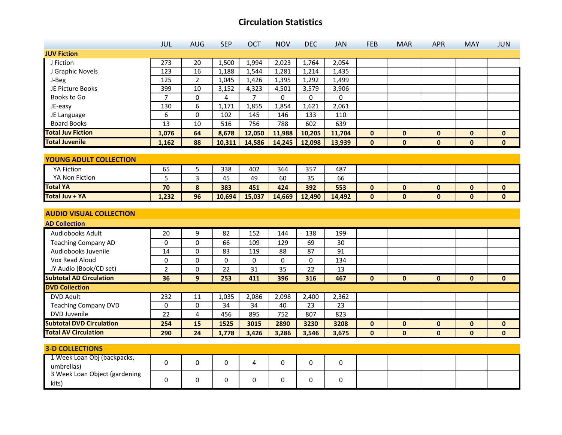|                                             | JUL             | <b>AUG</b>     | <b>SEP</b>     | OCT            | <b>NOV</b> | <b>DEC</b> | <b>JAN</b> | <b>FEB</b>   | <b>MAR</b>   | <b>APR</b>   | <b>MAY</b>   | <b>JUN</b>   |
|---------------------------------------------|-----------------|----------------|----------------|----------------|------------|------------|------------|--------------|--------------|--------------|--------------|--------------|
| <b>JUV Fiction</b>                          |                 |                |                |                |            |            |            |              |              |              |              |              |
| J Fiction                                   | 273             | 20             | 1,500          | 1,994          | 2,023      | 1,764      | 2,054      |              |              |              |              |              |
| J Graphic Novels                            | 123             | 16             | 1,188          | 1,544          | 1,281      | 1,214      | 1,435      |              |              |              |              |              |
| J-Beg                                       | $\frac{125}{2}$ | $\overline{2}$ | 1,045          | 1,426          | 1,395      | 1,292      | 1,499      |              |              |              |              |              |
| JE Picture Books                            | 399             | 10             | 3,152          | 4,323          | 4,501      | 3,579      | 3,906      |              |              |              |              |              |
| Books to Go                                 | $\overline{7}$  | 0              | $\overline{4}$ | $\overline{7}$ | $\Omega$   | $\Omega$   | 0          |              |              |              |              |              |
| JE-easy                                     | 130             | $\overline{6}$ | 1,171          | 1,855          | 1,854      | 1,621      | 2,061      |              |              |              |              |              |
| JE Language                                 | 6               | 0              | 102            | 145            | 146        | 133        | 110        |              |              |              |              |              |
| <b>Board Books</b>                          | 13              | 10             | 516            | 756            | 788        | 602        | 639        |              |              |              |              |              |
| <b>Total Juv Fiction</b>                    | 1,076           | 64             | 8,678          | 12,050         | 11,988     | 10,205     | 11,704     | $\bf{0}$     | $\mathbf{0}$ | $\mathbf 0$  | $\mathbf 0$  | $\mathbf{0}$ |
| <b>Total Juvenile</b>                       | 1,162           | 88             | 10,311         | 14,586         | 14,245     | 12,098     | 13,939     | $\mathbf{0}$ | $\mathbf{0}$ | $\mathbf 0$  | $\mathbf 0$  | $\mathbf{0}$ |
|                                             |                 |                |                |                |            |            |            |              |              |              |              |              |
| <b>YOUNG ADULT COLLECTION</b>               |                 |                |                |                |            |            |            |              |              |              |              |              |
| <b>YA Fiction</b>                           | 65              | 5              | 338            | 402            | 364        | 357        | 487        |              |              |              |              |              |
| YA Non Fiction                              | 5               | 3              | 45             | 49             | 60         | 35         | 66         |              |              |              |              |              |
| <b>Total YA</b>                             | 70              | 8              | 383            | 451            | 424        | 392        | 553        | $\mathbf 0$  | $\mathbf{0}$ | $\mathbf 0$  | $\pmb{0}$    | $\mathbf 0$  |
| <b>Total Juv + YA</b>                       | 1,232           | 96             | 10,694         | 15,037         | 14,669     | 12,490     | 14,492     | $\mathbf{0}$ | $\mathbf{0}$ | $\mathbf{0}$ | $\mathbf{0}$ | $\mathbf 0$  |
|                                             |                 |                |                |                |            |            |            |              |              |              |              |              |
| <b>AUDIO VISUAL COLLECTION</b>              |                 |                |                |                |            |            |            |              |              |              |              |              |
| <b>AD Collection</b>                        |                 |                |                |                |            |            |            |              |              |              |              |              |
| Audiobooks Adult                            | 20              | 9              | 82             | 152            | 144        | 138        | 199        |              |              |              |              |              |
| <b>Teaching Company AD</b>                  | 0               | 0              | 66             | 109            | 129        | 69         | 30         |              |              |              |              |              |
| Audiobooks Juvenile                         | 14              | 0              | 83             | 119            | 88         | 87         | 91         |              |              |              |              |              |
| Vox Read Aloud                              | 0               | 0              | 0              | 0              | 0          | 0          | 134        |              |              |              |              |              |
| JY Audio (Book/CD set)                      | $\overline{2}$  | $\mathbf 0$    | 22             | 31             | 35         | 22         | 13         |              |              |              |              |              |
| <b>Subtotal AD Circulation</b>              | 36              | 9              | 253            | 411            | 396        | 316        | 467        | $\mathbf{0}$ | $\mathbf{0}$ | $\mathbf{0}$ | $\mathbf{0}$ | $\mathbf{0}$ |
| <b>DVD Collection</b>                       |                 |                |                |                |            |            |            |              |              |              |              |              |
| <b>DVD Adult</b>                            | 232             | 11             | 1,035          | 2,086          | 2,098      | 2,400      | 2,362      |              |              |              |              |              |
| <b>Teaching Company DVD</b>                 | 0               | 0              | 34             | 34             | 40         | 23         | 23         |              |              |              |              |              |
| <b>DVD Juvenile</b>                         | 22              | 4              | 456            | 895            | 752        | 807        | 823        |              |              |              |              |              |
| <b>Subtotal DVD Circulation</b>             | 254             | 15             | 1525           | 3015           | 2890       | 3230       | 3208       | $\bf{0}$     | $\mathbf 0$  | $\mathbf{0}$ | $\pmb{0}$    | $\mathbf 0$  |
| <b>Total AV Circulation</b>                 | 290             | 24             | 1,778          | 3,426          | 3,286      | 3,546      | 3,675      | $\mathbf{0}$ | $\mathbf 0$  | $\mathbf 0$  | $\mathbf 0$  | $\mathbf{0}$ |
|                                             |                 |                |                |                |            |            |            |              |              |              |              |              |
| <b>3-D COLLECTIONS</b>                      |                 |                |                |                |            |            |            |              |              |              |              |              |
| 1 Week Loan Obj (backpacks,                 | 0               | 0              | 0              | 4              | 0          | 0          | 0          |              |              |              |              |              |
| umbrellas)<br>3 Week Loan Object (gardening |                 |                |                |                |            |            |            |              |              |              |              |              |
|                                             | 0               | 0              | 0              | 0              | 0          | 0          | 0          |              |              |              |              |              |
| kits)                                       |                 |                |                |                |            |            |            |              |              |              |              |              |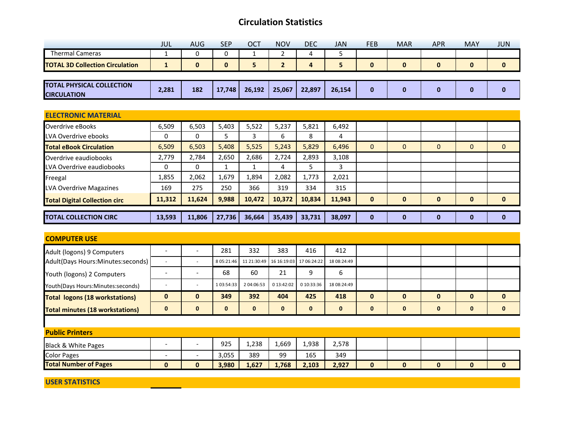|                                                        | JUL          | <b>AUG</b>  | <b>SEP</b>   | OCT    | <b>NOV</b>     | <b>DEC</b> | <b>JAN</b> | <b>FEB</b>   | <b>MAR</b>   | <b>APR</b>   | <b>MAY</b>   | <b>JUN</b>   |
|--------------------------------------------------------|--------------|-------------|--------------|--------|----------------|------------|------------|--------------|--------------|--------------|--------------|--------------|
| <b>Thermal Cameras</b>                                 | 1            | 0           | 0            | 1      | 2              | 4          | 5          |              |              |              |              |              |
| <b>TOTAL 3D Collection Circulation</b>                 | $\mathbf{1}$ | $\mathbf 0$ | $\mathbf{0}$ | 5      | $\overline{2}$ | 4          | 5          | $\mathbf 0$  | $\mathbf 0$  | $\mathbf 0$  | $\mathbf 0$  | $\mathbf 0$  |
|                                                        |              |             |              |        |                |            |            |              |              |              |              |              |
| <b>TOTAL PHYSICAL COLLECTION</b><br><b>CIRCULATION</b> | 2,281        | 182         | 17,748       | 26,192 | 25,067         | 22,897     | 26,154     | $\mathbf{0}$ | $\bf{0}$     | $\mathbf 0$  | $\bf{0}$     | $\mathbf 0$  |
|                                                        |              |             |              |        |                |            |            |              |              |              |              |              |
| <b>ELECTRONIC MATERIAL</b>                             |              |             |              |        |                |            |            |              |              |              |              |              |
| Overdrive eBooks                                       | 6,509        | 6,503       | 5,403        | 5,522  | 5,237          | 5,821      | 6,492      |              |              |              |              |              |
| LVA Overdrive ebooks                                   | 0            | 0           | 5            | 3      | 6              | 8          | 4          |              |              |              |              |              |
| <b>Total eBook Circulation</b>                         | 6,509        | 6,503       | 5,408        | 5,525  | 5,243          | 5,829      | 6,496      | $\mathbf{0}$ | $\mathbf{0}$ | $\mathbf{0}$ | $\mathbf{0}$ | $\mathbf{0}$ |
| Overdrive eaudiobooks                                  | 2,779        | 2,784       | 2,650        | 2,686  | 2,724          | 2,893      | 3,108      |              |              |              |              |              |
| LVA Overdrive eaudiobooks                              | 0            | 0           | 1            | 1      | 4              | 5          | 3          |              |              |              |              |              |
| Freegal                                                | 1,855        | 2,062       | 1,679        | 1,894  | 2,082          | 1,773      | 2,021      |              |              |              |              |              |
| LVA Overdrive Magazines                                | 169          | 275         | 250          | 366    | 319            | 334        | 315        |              |              |              |              |              |
| <b>Total Digital Collection circ</b>                   | 11,312       | 11,624      | 9,988        | 10,472 | 10,372         | 10,834     | 11,943     | $\mathbf 0$  | $\bf{0}$     | $\mathbf{0}$ | $\bf{0}$     | 0            |
| <b>TOTAL COLLECTION CIRC</b>                           | 13,593       | 11,806      | 27,736       | 36,664 | 35,439         | 33,731     | 38,097     | $\mathbf 0$  | $\bf{0}$     | $\bf{0}$     | $\bf{0}$     | $\bf{0}$     |

| <b>COMPUTER USE</b>                    |                          |                              |              |            |            |                                     |             |              |              |              |              |              |
|----------------------------------------|--------------------------|------------------------------|--------------|------------|------------|-------------------------------------|-------------|--------------|--------------|--------------|--------------|--------------|
| Adult (logons) 9 Computers             |                          | -                            | 281          | 332        | 383        | 416                                 | 412         |              |              |              |              |              |
| Adult(Days Hours:Minutes:seconds)      |                          | $\overline{\phantom{a}}$     | 8 05:21:46   |            |            | 11 21:30:49 16 16:19:03 17 06:24:22 | 18 08:24:49 |              |              |              |              |              |
| Youth (logons) 2 Computers             |                          | $\qquad \qquad \blacksquare$ | 68           | 60         | 21         | 9                                   | 6           |              |              |              |              |              |
| Youth(Days Hours:Minutes:seconds)      |                          |                              | 1 03:54:33   | 2 04:06:53 | 0 13:42:02 | 0 10:33:36                          | 18 08:24:49 |              |              |              |              |              |
| <b>Total logons (18 workstations)</b>  | $\bf{0}$                 | $\mathbf{0}$                 | 349          | 392        | 404        | 425                                 | 418         | $\mathbf{0}$ | $\mathbf{0}$ | $\mathbf{0}$ | $\mathbf{0}$ | $\mathbf{0}$ |
| <b>Total minutes (18 workstations)</b> | $\mathbf{0}$             | $\mathbf{0}$                 | $\mathbf{0}$ | $\bf{0}$   | 0          | $\mathbf{0}$                        | $\bf{0}$    | $\bf{0}$     | $\bf{0}$     | $\mathbf{0}$ | $\mathbf 0$  | $\mathbf{0}$ |
|                                        |                          |                              |              |            |            |                                     |             |              |              |              |              |              |
| <b>Public Printers</b>                 |                          |                              |              |            |            |                                     |             |              |              |              |              |              |
| <b>Black &amp; White Pages</b>         |                          | -                            | 925          | 1,238      | 1,669      | 1,938                               | 2,578       |              |              |              |              |              |
| <b>Color Pages</b>                     | $\overline{\phantom{0}}$ | $\overline{\phantom{a}}$     | 3,055        | 389        | 99         | 165                                 | 349         |              |              |              |              |              |
| <b>Total Number of Pages</b>           | $\bf{0}$                 | $\mathbf{0}$                 | 3,980        | 1,627      | 1,768      | 2,103                               | 2,927       | $\mathbf{0}$ | $\bf{0}$     | $\bf{0}$     | $\bf{0}$     | $\bf{0}$     |

**USER STATISTICS**